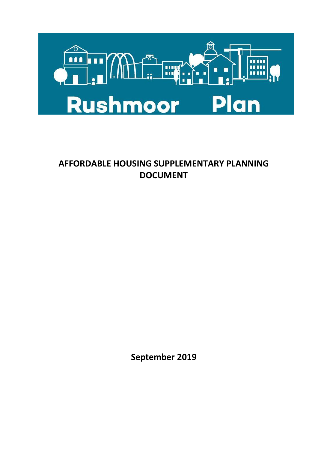

# **AFFORDABLE HOUSING SUPPLEMENTARY PLANNING DOCUMENT**

**September 2019**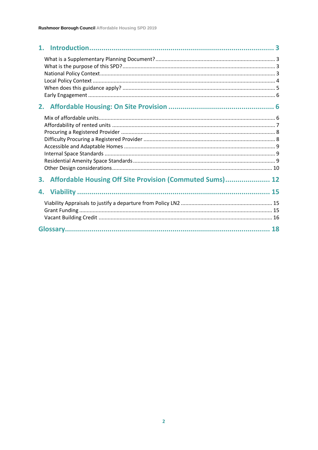| Affordable Housing Off Site Provision (Commuted Sums) 12<br>3. |  |
|----------------------------------------------------------------|--|
|                                                                |  |
|                                                                |  |
|                                                                |  |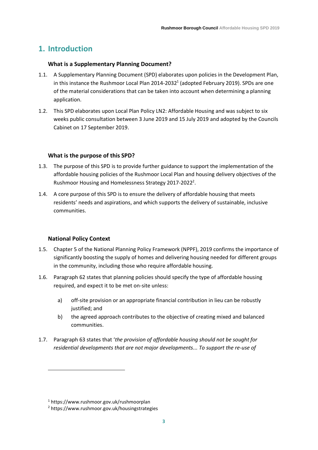# <span id="page-2-0"></span>**1. Introduction**

#### <span id="page-2-1"></span>**What is a Supplementary Planning Document?**

- 1.1. A Supplementary Planning Document (SPD) elaborates upon policies in the Development Plan, in this instance the [Rushmoor Local Plan 2014-2032](https://www.rushmoor.gov.uk/rushmoorplan)<sup>1</sup> (adopted February 2019). SPDs are one of the material considerations that can be taken into account when determining a planning application.
- 1.2. This SPD elaborates upon Local Plan Policy LN2: Affordable Housing and was subject to six weeks public consultation between 3 June 2019 and 15 July 2019 and adopted by the Councils Cabinet on 17 September 2019.

# <span id="page-2-2"></span>**What is the purpose of this SPD?**

- 1.3. The purpose of this SPD is to provide further guidance to support the implementation of the affordable housing policies of the Rushmoor Local Plan and housing delivery objectives of the [Rushmoor Housing and Homelessness Strategy](https://www.rushmoor.gov.uk/housingstrategies) 2017-2022<sup>2</sup>.
- 1.4. A core purpose of this SPD is to ensure the delivery of affordable housing that meets residents' needs and aspirations, and which supports the delivery of sustainable, inclusive communities.

#### <span id="page-2-3"></span>**National Policy Context**

- 1.5. Chapter 5 of the National Planning Policy Framework (NPPF), 2019 confirms the importance of significantly boosting the supply of homes and delivering housing needed for different groups in the community, including those who require affordable housing.
- 1.6. Paragraph 62 states that planning policies should specify the type of affordable housing required, and expect it to be met on-site unless:
	- a) off-site provision or an appropriate financial contribution in lieu can be robustly justified; and
	- b) the agreed approach contributes to the objective of creating mixed and balanced communities.
- 1.7. Paragraph 63 states that '*the provision of affordable housing should not be sought for residential developments that are not major developments... To support the re-use of*

<sup>1</sup> https://www.rushmoor.gov.uk/rushmoorplan

<sup>2</sup> https://www.rushmoor.gov.uk/housingstrategies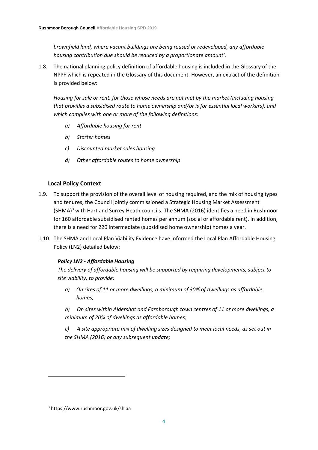*brownfield land, where vacant buildings are being reused or redeveloped, any affordable housing contribution due should be reduced by a proportionate amount'*.

1.8. The national planning policy definition of affordable housing is included in the Glossary of the NPPF which is repeated in the Glossary of this document. However, an extract of the definition is provided below:

*Housing for sale or rent, for those whose needs are not met by the market (including housing that provides a subsidised route to home ownership and/or is for essential local workers); and which complies with one or more of the following definitions:*

- *a) Affordable housing for rent*
- *b) Starter homes*
- *c) Discounted market sales housing*
- *d) Other affordable routes to home ownership*

# <span id="page-3-0"></span>**Local Policy Context**

- 1.9. To support the provision of the overall level of housing required, and the mix of housing types and tenures, the Council jointly commissioned a Strategic [Housing Market Assessment](https://www.rushmoor.gov.uk/shlaa)   $(SHMA)<sup>3</sup>$  $(SHMA)<sup>3</sup>$  with Hart and Surrey Heath councils. The SHMA (2016) identifies a need in Rushmoor for 160 affordable subsidised rented homes per annum (social or affordable rent). In addition, there is a need for 220 intermediate (subsidised home ownership) homes a year.
- 1.10. The SHMA and Local Plan Viability Evidence have informed the Local Plan Affordable Housing Policy (LN2) detailed below:

# *Policy LN2 - Affordable Housing*

*The delivery of affordable housing will be supported by requiring developments, subject to site viability, to provide:*

*a) On sites of 11 or more dwellings, a minimum of 30% of dwellings as affordable homes;*

*b) On sites within Aldershot and Farnborough town centres of 11 or more dwellings, a minimum of 20% of dwellings as affordable homes;*

*c) A site appropriate mix of dwelling sizes designed to meet local needs, as set out in the SHMA (2016) or any subsequent update;*

<sup>3</sup> https://www.rushmoor.gov.uk/shlaa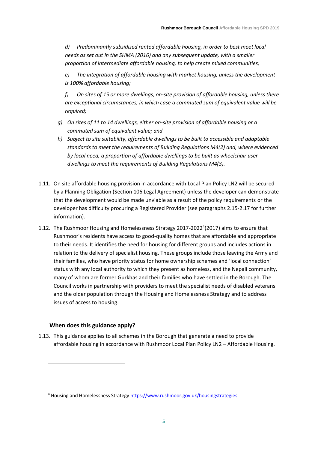*d) Predominantly subsidised rented affordable housing, in order to best meet local needs as set out in the SHMA (2016) and any subsequent update, with a smaller proportion of intermediate affordable housing, to help create mixed communities;*

*e) The integration of affordable housing with market housing, unless the development is 100% affordable housing;*

*f) On sites of 15 or more dwellings, on-site provision of affordable housing, unless there are exceptional circumstances, in which case a commuted sum of equivalent value will be required;*

- *g) On sites of 11 to 14 dwellings, either on-site provision of affordable housing or a commuted sum of equivalent value; and*
- *h) Subject to site suitability, affordable dwellings to be built to accessible and adaptable standards to meet the requirements of Building Regulations M4(2) and, where evidenced by local need, a proportion of affordable dwellings to be built as wheelchair user dwellings to meet the requirements of Building Regulations M4(3).*
- 1.11. On site affordable housing provision in accordance with Local Plan Policy LN2 will be secured by a Planning Obligation (Section 106 Legal Agreement) unless the developer can demonstrate that the development would be made unviable as a result of the policy requirements or the developer has difficulty procuring a Registered Provider (see paragraphs 2.15-2.17 for further information).
- 1.12. Th[e Rushmoor Housing and Homelessness Strategy 2017-2022](https://www.rushmoor.gov.uk/housingstrategies) 4 (2017) aims to ensure that Rushmoor's residents have access to good-quality homes that are affordable and appropriate to their needs. It identifies the need for housing for different groups and includes actions in relation to the delivery of specialist housing. These groups include those leaving the Army and their families, who have priority status for home ownership schemes and 'local connection' status with any local authority to which they present as homeless, and the Nepali community, many of whom are former Gurkhas and their families who have settled in the Borough. The Council works in partnership with providers to meet the specialist needs of disabled veterans and the older population through the Housing and Homelessness Strategy and to address issues of access to housing.

# <span id="page-4-0"></span>**When does this guidance apply?**

1.13. This guidance applies to all schemes in the Borough that generate a need to provide affordable housing in accordance with Rushmoor Local Plan Policy LN2 – Affordable Housing.

<sup>4</sup> Housing and Homelessness Strategy<https://www.rushmoor.gov.uk/housingstrategies>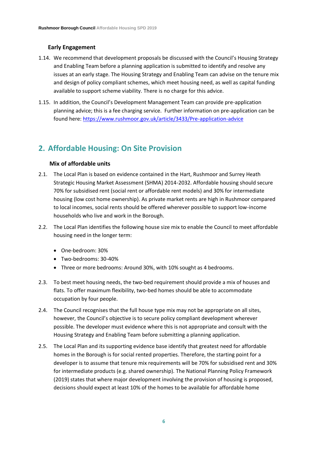# <span id="page-5-0"></span>**Early Engagement**

- 1.14. We recommend that development proposals be discussed with the Council's Housing Strategy and Enabling Team before a planning application is submitted to identify and resolve any issues at an early stage. The Housing Strategy and Enabling Team can advise on the tenure mix and design of policy compliant schemes, which meet housing need, as well as capital funding available to support scheme viability. There is no charge for this advice.
- 1.15. In addition, the Council's Development Management Team can provide pre-application planning advice; this is a fee charging service. Further information on pre-application can be found here: <https://www.rushmoor.gov.uk/article/3433/Pre-application-advice>

# <span id="page-5-1"></span>**2. Affordable Housing: On Site Provision**

# <span id="page-5-2"></span>**Mix of affordable units**

- 2.1. The Local Plan is based on evidence contained in the Hart, Rushmoor and Surrey Heath Strategic Housing Market Assessment (SHMA) 2014-2032. Affordable housing should secure 70% for subsidised rent (social rent or affordable rent models) and 30% for intermediate housing (low cost home ownership). As private market rents are high in Rushmoor compared to local incomes, social rents should be offered wherever possible to support low-income households who live and work in the Borough.
- 2.2. The Local Plan identifies the following house size mix to enable the Council to meet affordable housing need in the longer term:
	- One-bedroom: 30%
	- Two-bedrooms: 30-40%
	- Three or more bedrooms: Around 30%, with 10% sought as 4 bedrooms.
- 2.3. To best meet housing needs, the two-bed requirement should provide a mix of houses and flats. To offer maximum flexibility, two-bed homes should be able to accommodate occupation by four people.
- 2.4. The Council recognises that the full house type mix may not be appropriate on all sites, however, the Council's objective is to secure policy compliant development wherever possible. The developer must evidence where this is not appropriate and consult with the Housing Strategy and Enabling Team before submitting a planning application.
- 2.5. The Local Plan and its supporting evidence base identify that greatest need for affordable homes in the Borough is for social rented properties. Therefore, the starting point for a developer is to assume that tenure mix requirements will be 70% for subsidised rent and 30% for intermediate products (e.g. shared ownership). The National Planning Policy Framework (2019) states that where major development involving the provision of housing is proposed, decisions should expect at least 10% of the homes to be available for affordable home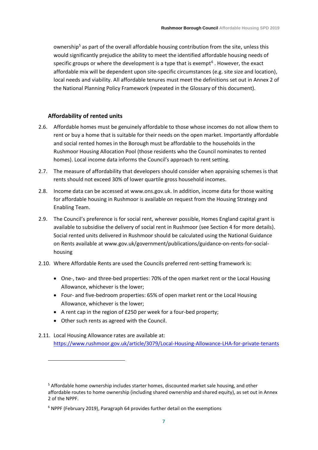ownership<sup>5</sup> as part of the overall affordable housing contribution from the site, unless this would significantly prejudice the ability to meet the identified affordable housing needs of specific groups or where the development is a type that is exempt<sup>6</sup>. However, the exact affordable mix will be dependent upon site-specific circumstances (e.g. site size and location), local needs and viability. All affordable tenures must meet the definitions set out in Annex 2 of the National Planning Policy Framework (repeated in the Glossary of this document).

#### <span id="page-6-0"></span>**Affordability of rented units**

- 2.6. Affordable homes must be genuinely affordable to those whose incomes do not allow them to rent or buy a home that is suitable for their needs on the open market. Importantly affordable and social rented homes in the Borough must be affordable to the households in the Rushmoor Housing Allocation Pool (those residents who the Council nominates to rented homes). Local income data informs the Council's approach to rent setting.
- 2.7. The measure of affordability that developers should consider when appraising schemes is that rents should not exceed 30% of lower quartile gross household incomes.
- 2.8. Income data can be accessed at [www.ons.gov.uk.](http://www.ons.gov.uk/) In addition, income data for those waiting for affordable housing in Rushmoor is available on request from the Housing Strategy and Enabling Team.
- 2.9. The Council's preference is for social rent, wherever possible, Homes England capital grant is available to subsidise the delivery of social rent in Rushmoor (see Section 4 for more details). Social rented units delivered in Rushmoor should be calculated using the National Guidance on Rents available a[t www.gov.uk/government/publications/guidance-on-rents-for-social](http://www.gov.uk/government/publications/guidance-on-rents-for-social-housing)[housing](http://www.gov.uk/government/publications/guidance-on-rents-for-social-housing)
- 2.10. Where Affordable Rents are used the Councils preferred rent-setting framework is:
	- One-, two- and three-bed properties: 70% of the open market rent or the Local Housing Allowance, whichever is the lower;
	- Four- and five-bedroom properties: 65% of open market rent or the Local Housing Allowance, whichever is the lower;
	- A rent cap in the region of £250 per week for a four-bed property;
	- Other such rents as agreed with the Council.
- 2.11. Local Housing Allowance rates are available at: <https://www.rushmoor.gov.uk/article/3079/Local-Housing-Allowance-LHA-for-private-tenants>

<span id="page-6-1"></span> $5$  Affordable home ownership includes starter homes, discounted market sale housing, and other affordable routes to home ownership (including shared ownership and shared equity), as set out in Annex 2 of the NPPF.

<sup>6</sup> NPPF (February 2019), Paragraph 64 provides further detail on the exemptions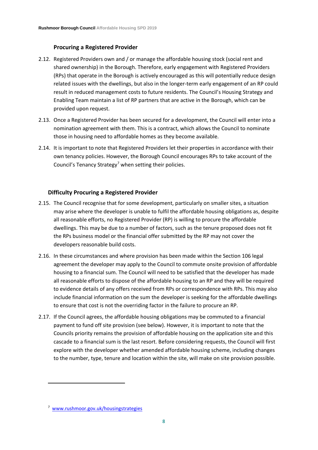# **Procuring a Registered Provider**

- 2.12. Registered Providers own and / or manage the affordable housing stock (social rent and shared ownership) in the Borough. Therefore, early engagement with Registered Providers (RPs) that operate in the Borough is actively encouraged as this will potentially reduce design related issues with the dwellings, but also in the longer-term early engagement of an RP could result in reduced management costs to future residents. The Council's Housing Strategy and Enabling Team maintain a list of RP partners that are active in the Borough, which can be provided upon request.
- 2.13. Once a Registered Provider has been secured for a development, the Council will enter into a nomination agreement with them. This is a contract, which allows the Council to nominate those in housing need to affordable homes as they become available.
- 2.14. It is important to note that Registered Providers let their properties in accordance with their own tenancy policies. However, the Borough Council encourages RPs to take account of the [Council's Tenancy Strategy](http://www.rushmoor.gov.uk/housingstrategies)<sup>7</sup> when setting their policies.

# <span id="page-7-0"></span>**Difficulty Procuring a Registered Provider**

- 2.15. The Council recognise that for some development, particularly on smaller sites, a situation may arise where the developer is unable to fulfil the affordable housing obligations as, despite all reasonable efforts, no Registered Provider (RP) is willing to procure the affordable dwellings. This may be due to a number of factors, such as the tenure proposed does not fit the RPs business model or the financial offer submitted by the RP may not cover the developers reasonable build costs.
- 2.16. In these circumstances and where provision has been made within the Section 106 legal agreement the developer may apply to the Council to commute onsite provision of affordable housing to a financial sum. The Council will need to be satisfied that the developer has made all reasonable efforts to dispose of the affordable housing to an RP and they will be required to evidence details of any offers received from RPs or correspondence with RPs. This may also include financial information on the sum the developer is seeking for the affordable dwellings to ensure that cost is not the overriding factor in the failure to procure an RP.
- 2.17. If the Council agrees, the affordable housing obligations may be commuted to a financial payment to fund off site provision (see below). However, it is important to note that the Councils priority remains the provision of affordable housing on the application site and this cascade to a financial sum is the last resort. Before considering requests, the Council will first explore with the developer whether amended affordable housing scheme, including changes to the number, type, tenure and location within the site, will make on site provision possible.

<span id="page-7-1"></span><sup>&</sup>lt;sup>7</sup> [www.rushmoor.gov.uk/housingstrategies](http://www.rushmoor.gov.uk/housingstrategies)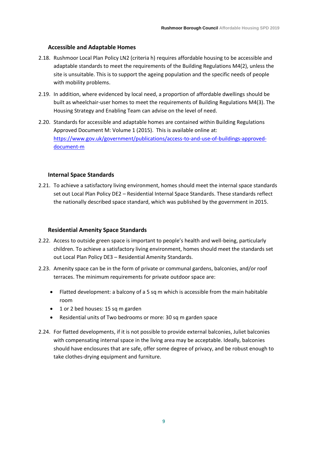#### **Accessible and Adaptable Homes**

- 2.18. Rushmoor Local Plan Policy LN2 (criteria h) requires affordable housing to be accessible and adaptable standards to meet the requirements of the Building Regulations M4(2), unless the site is unsuitable. This is to support the ageing population and the specific needs of people with mobility problems.
- 2.19. In addition, where evidenced by local need, a proportion of affordable dwellings should be built as wheelchair-user homes to meet the requirements of Building Regulations M4(3). The Housing Strategy and Enabling Team can advise on the level of need.
- 2.20. Standards for accessible and adaptable homes are contained within Building Regulations Approved Document M: Volume 1 (2015). This is available online at: [https://www.gov.uk/government/publications/access-to-and-use-of-buildings-approved](https://www.gov.uk/government/publications/access-to-and-use-of-buildings-approved-document-m)[document-m](https://www.gov.uk/government/publications/access-to-and-use-of-buildings-approved-document-m)

#### <span id="page-8-0"></span>**Internal Space Standards**

2.21. To achieve a satisfactory living environment, homes should meet the internal space standards set out Local Plan Policy DE2 – Residential Internal Space Standards. These standards reflect the nationally described space standard, which was published by the government in 2015.

#### <span id="page-8-1"></span>**Residential Amenity Space Standards**

- 2.22. Access to outside green space is important to people's health and well-being, particularly children. To achieve a satisfactory living environment, homes should meet the standards set out Local Plan Policy DE3 – Residential Amenity Standards.
- 2.23. Amenity space can be in the form of private or communal gardens, balconies, and/or roof terraces. The minimum requirements for private outdoor space are:
	- Flatted development: a balcony of a 5 sq m which is accessible from the main habitable room
	- 1 or 2 bed houses: 15 sq m garden
	- Residential units of Two bedrooms or more: 30 sq m garden space
- 2.24. For flatted developments, if it is not possible to provide external balconies, Juliet balconies with compensating internal space in the living area may be acceptable. Ideally, balconies should have enclosures that are safe, offer some degree of privacy, and be robust enough to take clothes-drying equipment and furniture.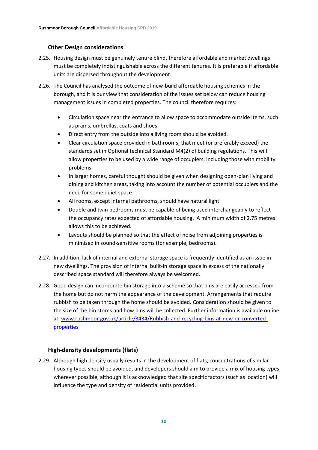# <span id="page-9-0"></span>**Other Design considerations**

- 2.25. Housing design must be genuinely tenure blind, therefore affordable and market dwellings must be completely indistinguishable across the different tenures. It is preferable if affordable units are dispersed throughout the development.
- 2.26. The Council has analysed the outcome of new-build affordable housing schemes in the borough, and it is our view that consideration of the issues set below can reduce housing management issues in completed properties. The council therefore requires:
	- Circulation space near the entrance to allow space to accommodate outside items, such as prams, umbrellas, coats and shoes.
	- Direct entry from the outside into a living room should be avoided.
	- Clear circulation space provided in bathrooms, that meet (or preferably exceed) the standards set in Optional technical Standard M4(2) of building regulations. This will allow properties to be used by a wide range of occupiers, including those with mobility problems.
	- In larger homes, careful thought should be given when designing open-plan living and dining and kitchen areas, taking into account the number of potential occupiers and the need for some quiet space.
	- All rooms, except internal bathrooms, should have natural light.
	- Double and twin bedrooms must be capable of being used interchangeably to reflect the occupancy rates expected of affordable housing. A minimum width of 2.75 metres allows this to be achieved.
	- Layouts should be planned so that the effect of noise from adjoining properties is minimised in sound-sensitive rooms (for example, bedrooms).
- 2.27. In addition, lack of internal and external storage space is frequently identified as an issue in new dwellings. The provision of internal built-in storage space in excess of the nationally described space standard will therefore always be welcomed.
- 2.28. Good design can incorporate bin storage into a scheme so that bins are easily accessed from the home but do not harm the appearance of the development. Arrangements that require rubbish to be taken through the home should be avoided. Consideration should be given to the size of the bin stores and how bins will be collected. Further information is available online at: [www.rushmoor.gov.uk/article/3434/Rubbish-and-recycling-bins-at-new-or-converted](http://www.rushmoor.gov.uk/article/3434/Rubbish-and-recycling-bins-at-new-or-converted-properties)[properties](http://www.rushmoor.gov.uk/article/3434/Rubbish-and-recycling-bins-at-new-or-converted-properties)

# **High-density developments (flats)**

2.29. Although high density usually results in the development of flats, concentrations of similar housing types should be avoided, and developers should aim to provide a mix of housing types wherever possible, although it is acknowledged that site specific factors (such as location) will influence the type and density of residential units provided.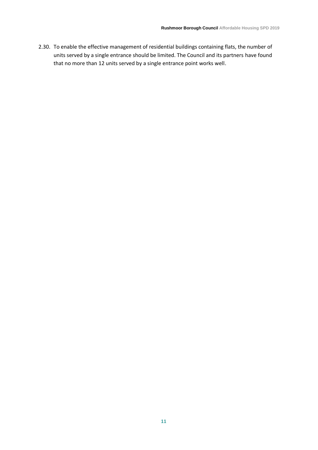<span id="page-10-0"></span>2.30. To enable the effective management of residential buildings containing flats, the number of units served by a single entrance should be limited. The Council and its partners have found that no more than 12 units served by a single entrance point works well.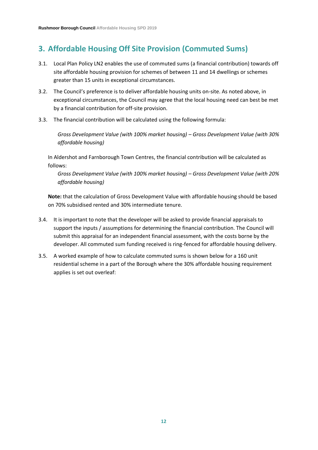# **3. Affordable Housing Off Site Provision (Commuted Sums)**

- 3.1. Local Plan Policy LN2 enables the use of commuted sums (a financial contribution) towards off site affordable housing provision for schemes of between 11 and 14 dwellings or schemes greater than 15 units in exceptional circumstances.
- 3.2. The Council's preference is to deliver affordable housing units on-site. As noted above, in exceptional circumstances, the Council may agree that the local housing need can best be met by a financial contribution for off-site provision.
- 3.3. The financial contribution will be calculated using the following formula:

*Gross Development Value (with 100% market housing) – Gross Development Value (with 30% affordable housing)*

In Aldershot and Farnborough Town Centres, the financial contribution will be calculated as follows:

*Gross Development Value (with 100% market housing) – Gross Development Value (with 20% affordable housing)*

**Note:** that the calculation of Gross Development Value with affordable housing should be based on 70% subsidised rented and 30% intermediate tenure.

- 3.4. It is important to note that the developer will be asked to provide financial appraisals to support the inputs / assumptions for determining the financial contribution. The Council will submit this appraisal for an independent financial assessment, with the costs borne by the developer. All commuted sum funding received is ring-fenced for affordable housing delivery.
- 3.5. A worked example of how to calculate commuted sums is shown below for a 160 unit residential scheme in a part of the Borough where the 30% affordable housing requirement applies is set out overleaf: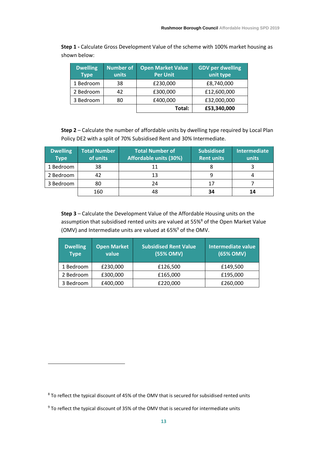**Step 1 -** Calculate Gross Development Value of the scheme with 100% market housing as shown below:

| <b>Dwelling</b><br><b>Type</b> | Number of<br>units | <b>Open Market Value</b><br><b>Per Unit</b> | <b>GDV per dwelling</b><br>unit type |
|--------------------------------|--------------------|---------------------------------------------|--------------------------------------|
| 1 Bedroom                      | 38                 | £230,000                                    | £8,740,000                           |
| 2 Bedroom                      | 42                 | £300,000                                    | £12,600,000                          |
| 3 Bedroom                      | 80                 | £400,000                                    | £32,000,000                          |
|                                |                    | Total:                                      | £53,340,000                          |

**Step 2** – Calculate the number of affordable units by dwelling type required by Local Plan Policy DE2 with a split of 70% Subsidised Rent and 30% Intermediate.

| <b>Dwelling</b><br><b>Type</b> | <b>Total Number</b><br>of units | <b>Total Number of</b><br><b>Affordable units (30%)</b> | <b>Subsidised</b><br>Rent units | <b>Intermediate</b><br>units |
|--------------------------------|---------------------------------|---------------------------------------------------------|---------------------------------|------------------------------|
| 1 Bedroom                      | 38                              | 11                                                      |                                 |                              |
| 2 Bedroom                      | 42                              | 13                                                      |                                 |                              |
| 3 Bedroom                      | 80                              | 24                                                      | 17                              |                              |
|                                | 160                             | 48                                                      | 34                              | 14                           |

**Step 3** – Calculate the Development Value of the Affordable Housing units on the assumption that subsidised rented units are valued at 55%<sup>8</sup> of the Open Market Value (OMV) and Intermediate units are valued at 65%<sup>9</sup> of the OMV.

| <b>Dwelling</b><br><b>Type</b> | <b>Open Market</b><br>value | <b>Subsidised Rent Value</b><br>(55% OMV) | Intermediate value<br>(65% OMV) |
|--------------------------------|-----------------------------|-------------------------------------------|---------------------------------|
| 1 Bedroom                      | £230,000                    | £126,500                                  | £149,500                        |
| 2 Bedroom                      | £300,000                    | £165,000                                  | £195,000                        |
| 3 Bedroom                      | £400,000                    | £220,000                                  | £260,000                        |

<sup>8</sup> To reflect the typical discount of 45% of the OMV that is secured for subsidised rented units

<sup>&</sup>lt;sup>9</sup> To reflect the typical discount of 35% of the OMV that is secured for intermediate units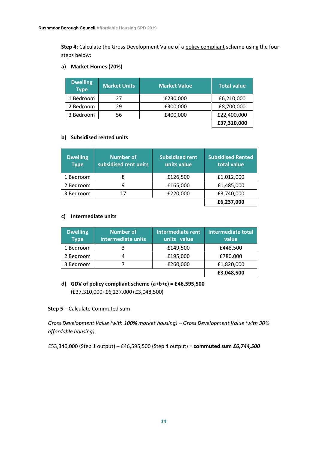**Step 4**: Calculate the Gross Development Value of a policy compliant scheme using the four steps below:

# **a) Market Homes (70%)**

| <b>Dwelling</b><br><b>Type</b> | <b>Market Units</b> | <b>Market Value</b> | <b>Total value</b> |
|--------------------------------|---------------------|---------------------|--------------------|
| 1 Bedroom                      | 27                  | £230,000            | £6,210,000         |
| 2 Bedroom                      | 29                  | £300,000            | £8,700,000         |
| 3 Bedroom                      | 56                  | £400,000            | £22,400,000        |
|                                |                     |                     | £37,310,000        |

# **b) Subsidised rented units**

| <b>Dwelling</b><br><b>Type</b> | <b>Number of</b><br>subsidised rent units | <b>Subsidised rent</b><br>units value | <b>Subsidised Rented</b><br>total value |
|--------------------------------|-------------------------------------------|---------------------------------------|-----------------------------------------|
| 1 Bedroom                      | 8                                         | £126,500                              | £1,012,000                              |
| 2 Bedroom                      | 9                                         | £165,000                              | £1,485,000                              |
| 3 Bedroom                      | 17                                        | £220,000                              | £3,740,000                              |
|                                |                                           |                                       | £6,237,000                              |

# **c) Intermediate units**

| <b>Dwelling</b><br><b>Type</b> | <b>Number of</b><br>intermediate units | <b>Intermediate rent</b><br>units value | <b>Intermediate total</b><br>value |
|--------------------------------|----------------------------------------|-----------------------------------------|------------------------------------|
| 1 Bedroom                      |                                        | £149,500                                | £448,500                           |
| 2 Bedroom                      |                                        | £195,000                                | £780,000                           |
| 3 Bedroom                      |                                        | £260,000                                | £1,820,000                         |
|                                |                                        |                                         | £3,048,500                         |

# <span id="page-13-0"></span>**d) GDV of policy compliant scheme (a+b+c) = £46,595,500** (£37,310,000+£6,237,000+£3,048,500)

# **Step 5** – Calculate Commuted sum

*Gross Development Value (with 100% market housing) – Gross Development Value (with 30% affordable housing)*

£53,340,000 (Step 1 output) *–* £46,595,500 (Step 4 output) = **commuted sum** *£6,744,500*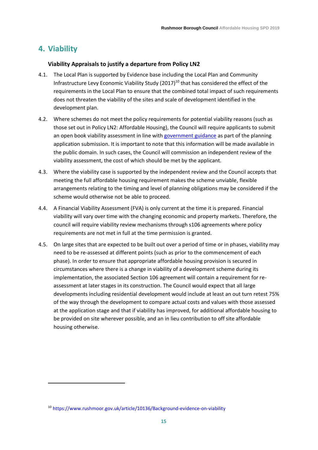# **4. Viability**

#### <span id="page-14-0"></span>**Viability Appraisals to justify a departure from Policy LN2**

- 4.1. The Local Plan is supported by Evidence base including the [Local Plan and Community](https://www.rushmoor.gov.uk/article/10136/Background-evidence-on-viability)  Infrastructure Levy Economic Viability Study  $(2017)^{10}$  that has considered the effect of the requirements in the Local Plan to ensure that the combined total impact of such requirements does not threaten the viability of the sites and scale of development identified in the development plan.
- 4.2. Where schemes do not meet the policy requirements for potential viability reasons (such as those set out in Policy LN2: Affordable Housing), the Council will require applicants to submit an open book viability assessment in line with [government guidance](https://www.gov.uk/guidance/viability) as part of the planning application submission. It is important to note that this information will be made available in the public domain. In such cases, the Council will commission an independent review of the viability assessment, the cost of which should be met by the applicant.
- 4.3. Where the viability case is supported by the independent review and the Council accepts that meeting the full affordable housing requirement makes the scheme unviable, flexible arrangements relating to the timing and level of planning obligations may be considered if the scheme would otherwise not be able to proceed.
- 4.4. A Financial Viability Assessment (FVA) is only current at the time it is prepared. Financial viability will vary over time with the changing economic and property markets. Therefore, the council will require viability review mechanisms through s106 agreements where policy requirements are not met in full at the time permission is granted.
- 4.5. On large sites that are expected to be built out over a period of time or in phases, viability may need to be re-assessed at different points (such as prior to the commencement of each phase). In order to ensure that appropriate affordable housing provision is secured in circumstances where there is a change in viability of a development scheme during its implementation, the associated Section 106 agreement will contain a requirement for reassessment at later stages in its construction. The Council would expect that all large developments including residential development would include at least an out turn retest 75% of the way through the development to compare actual costs and values with those assessed at the application stage and that if viability has improved, for additional affordable housing to be provided on site wherever possible, and an in lieu contribution to off site affordable housing otherwise.

<span id="page-14-1"></span><sup>10</sup> https://www.rushmoor.gov.uk/article/10136/Background-evidence-on-viability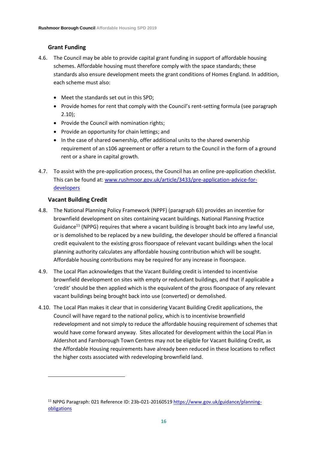# **Grant Funding**

- 4.6. The Council may be able to provide capital grant funding in support of affordable housing schemes. Affordable housing must therefore comply with the space standards; these standards also ensure development meets the grant conditions of Homes England. In addition, each scheme must also:
	- Meet the standards set out in this SPD;
	- Provide homes for rent that comply with the Council's rent-setting formula (see paragraph 2.10);
	- Provide the Council with nomination rights;
	- Provide an opportunity for chain lettings; and
	- In the case of shared ownership, offer additional units to the shared ownership requirement of an s106 agreement or offer a return to the Council in the form of a ground rent or a share in capital growth.
- 4.7. To assist with the pre-application process, the Council has an online pre-application checklist. This can be found at: [www.rushmoor.gov.uk/article/3433/pre-application-advice-for](http://www.rushmoor.gov.uk/article/3433/pre-application-advice-for-developers)[developers](http://www.rushmoor.gov.uk/article/3433/pre-application-advice-for-developers)

# <span id="page-15-0"></span>**Vacant Building Credit**

- 4.8. The National Planning Policy Framework (NPPF) (paragraph 63) provides an incentive for brownfield development on sites containing vacant buildings. [National Planning Practice](https://www.gov.uk/guidance/planning-obligations)  [Guidance](https://www.gov.uk/guidance/planning-obligations)<sup>11</sup> (NPPG) requires that where a vacant building is brought back into any lawful use, or is demolished to be replaced by a new building, the developer should be offered a financial credit equivalent to the existing gross floorspace of relevant vacant buildings when the local planning authority calculates any affordable housing contribution which will be sought. Affordable housing contributions may be required for any increase in floorspace.
- 4.9. The Local Plan acknowledges that the Vacant Building credit is intended to incentivise brownfield development on sites with empty or redundant buildings, and that if applicable a 'credit' should be then applied which is the equivalent of the gross floorspace of any relevant vacant buildings being brought back into use (converted) or demolished.
- 4.10. The Local Plan makes it clear that in considering Vacant Building Credit applications, the Council will have regard to the national policy, which is to incentivise brownfield redevelopment and not simply to reduce the affordable housing requirement of schemes that would have come forward anyway. Sites allocated for development within the Local Plan in Aldershot and Farnborough Town Centres may not be eligible for Vacant Building Credit, as the Affordable Housing requirements have already been reduced in these locations to reflect the higher costs associated with redeveloping brownfield land.

<sup>&</sup>lt;sup>11</sup> NPPG Paragraph: 021 Reference ID: 23b-021-20160519 [https://www.gov.uk/guidance/planning](https://www.gov.uk/guidance/planning-obligations)**[obligations](https://www.gov.uk/guidance/planning-obligations)**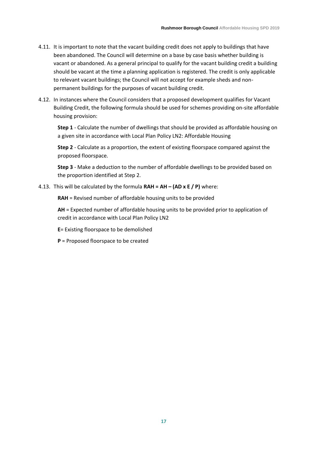- 4.11. It is important to note that the vacant building credit does not apply to buildings that have been abandoned. The Council will determine on a base by case basis whether building is vacant or abandoned. As a general principal to qualify for the vacant building credit a building should be vacant at the time a planning application is registered. The credit is only applicable to relevant vacant buildings; the Council will not accept for example sheds and nonpermanent buildings for the purposes of vacant building credit.
- 4.12. In instances where the Council considers that a proposed development qualifies for Vacant Building Credit, the following formula should be used for schemes providing on-site affordable housing provision:

**Step 1** - Calculate the number of dwellings that should be provided as affordable housing on a given site in accordance with Local Plan Policy LN2: Affordable Housing

**Step 2** - Calculate as a proportion, the extent of existing floorspace compared against the proposed floorspace.

**Step 3** - Make a deduction to the number of affordable dwellings to be provided based on the proportion identified at Step 2.

#### 4.13. This will be calculated by the formula **RAH = AH – (AD x E / P)** where:

**RAH** = Revised number of affordable housing units to be provided

**AH** = Expected number of affordable housing units to be provided prior to application of credit in accordance with Local Plan Policy LN2

**E**= Existing floorspace to be demolished

**P** = Proposed floorspace to be created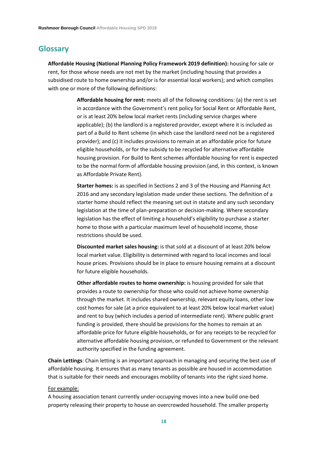# <span id="page-17-0"></span>**Glossary**

**Affordable Housing (National Planning Policy Framework 2019 definition):** housing for sale or rent, for those whose needs are not met by the market (including housing that provides a subsidised route to home ownership and/or is for essential local workers); and which complies with one or more of the following definitions:

> **Affordable housing for rent:** meets all of the following conditions: (a) the rent is set in accordance with the Government's rent policy for Social Rent or Affordable Rent, or is at least 20% below local market rents (including service charges where applicable); (b) the landlord is a registered provider, except where it is included as part of a Build to Rent scheme (in which case the landlord need not be a registered provider); and (c) it includes provisions to remain at an affordable price for future eligible households, or for the subsidy to be recycled for alternative affordable housing provision. For Build to Rent schemes affordable housing for rent is expected to be the normal form of affordable housing provision (and, in this context, is known as Affordable Private Rent).

**Starter homes:** is as specified in Sections 2 and 3 of the Housing and Planning Act 2016 and any secondary legislation made under these sections. The definition of a starter home should reflect the meaning set out in statute and any such secondary legislation at the time of plan-preparation or decision-making. Where secondary legislation has the effect of limiting a household's eligibility to purchase a starter home to those with a particular maximum level of household income, those restrictions should be used.

**Discounted market sales housing:** is that sold at a discount of at least 20% below local market value. Eligibility is determined with regard to local incomes and local house prices. Provisions should be in place to ensure housing remains at a discount for future eligible households.

**Other affordable routes to home ownership:** is housing provided for sale that provides a route to ownership for those who could not achieve home ownership through the market. It includes shared ownership, relevant equity loans, other low cost homes for sale (at a price equivalent to at least 20% below local market value) and rent to buy (which includes a period of intermediate rent). Where public grant funding is provided, there should be provisions for the homes to remain at an affordable price for future eligible households, or for any receipts to be recycled for alternative affordable housing provision, or refunded to Government or the relevant authority specified in the funding agreement.

**Chain Lettings**: Chain letting is an important approach in managing and securing the best use of affordable housing. It ensures that as many tenants as possible are housed in accommodation that is suitable for their needs and encourages mobility of tenants into the right sized home.

#### For example:

A housing association tenant currently under-occupying moves into a new build one-bed property releasing their property to house an overcrowded household. The smaller property